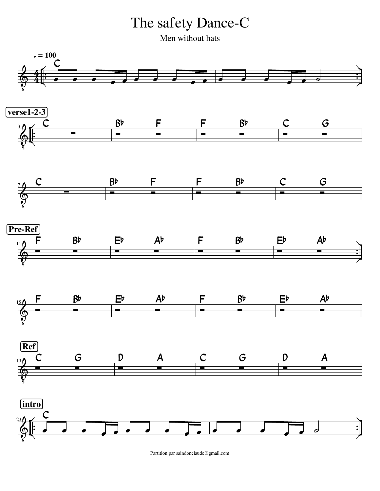The safety Dance-C

Men without hats



Partition par saindonclaude@gmail.com